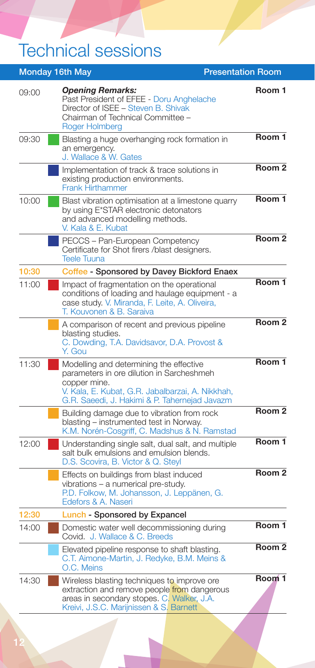## Technical sessions

| <b>Monday 16th May</b> |                                                                                                                                                                                                           | <b>Presentation Room</b>    |
|------------------------|-----------------------------------------------------------------------------------------------------------------------------------------------------------------------------------------------------------|-----------------------------|
| 09:00                  | <b>Opening Remarks:</b><br>Past President of EFEE - Doru Anghelache<br>Director of ISEE - Steven B. Shivak<br>Chairman of Technical Committee -<br>Roger Holmberg                                         | Room 1                      |
| 09:30                  | Blasting a huge overhanging rock formation in<br>an emergency.<br>J. Wallace & W. Gates                                                                                                                   | Room 1                      |
|                        | Implementation of track & trace solutions in<br>existing production environments.<br><b>Frank Hirthammer</b>                                                                                              | Room <sub>2</sub>           |
| 10:00                  | Blast vibration optimisation at a limestone quarry<br>by using E*STAR electronic detonators<br>and advanced modelling methods.<br>V. Kala & E. Kubat                                                      | Room 1                      |
|                        | PECCS - Pan-European Competency<br>Certificate for Shot firers /blast designers.<br>Teele Tuuna                                                                                                           | Room <sub>2</sub>           |
| 10:30                  | Coffee - Sponsored by Davey Bickford Enaex                                                                                                                                                                |                             |
| 11:00                  | Impact of fragmentation on the operational<br>conditions of loading and haulage equipment - a<br>case study. V. Miranda, F. Leite, A. Oliveira,<br>T. Kouvonen & B. Saraiva                               | Room 1                      |
|                        | A comparison of recent and previous pipeline<br>blasting studies.<br>C. Dowding, T.A. Davidsavor, D.A. Provost &<br>Y. Gou                                                                                | Room <sub>2</sub>           |
| 11:30                  | Modelling and determining the effective<br>parameters in ore dilution in Sarcheshmeh<br>copper mine.<br>V. Kala, E. Kubat, G.R. Jabalbarzai, A. Nikkhah,<br>G.R. Saeedi, J. Hakimi & P. Tahernejad Javazm | Room 1                      |
|                        | Building damage due to vibration from rock<br>blasting – instrumented test in Norway.<br>K.M. Norén-Cosgriff, C. Madshus & N. Ramstad                                                                     | Room <sub>2</sub>           |
| 12:00                  | Understanding single salt, dual salt, and multiple<br>salt bulk emulsions and emulsion blends.<br>D.S. Scovira, B. Victor & Q. Steyl                                                                      | Room 1                      |
|                        | Effects on buildings from blast induced<br>vibrations - a numerical pre-study.<br>P.D. Folkow, M. Johansson, J. Leppänen, G.<br>Edefors & A. Naseri                                                       | Room <sub>2</sub>           |
| 12:30                  | Lunch - Sponsored by Expancel                                                                                                                                                                             |                             |
| 14:00                  | Domestic water well decommissioning during<br>Covid. J. Wallace & C. Breeds                                                                                                                               | Room 1<br>Room <sub>2</sub> |
|                        | Elevated pipeline response to shaft blasting.<br>C.T. Aimone-Martin, J. Redyke, B.M. Meins &<br>O.C. Meins                                                                                                |                             |
| 14:30                  | Wireless blasting techniques to improve ore<br>extraction and remove people from dangerous<br>areas in secondary stopes. C. Walker, J.A.<br>Kreivi, J.S.C. Marijnissen & S. Barnett                       | Room <sup>1</sup>           |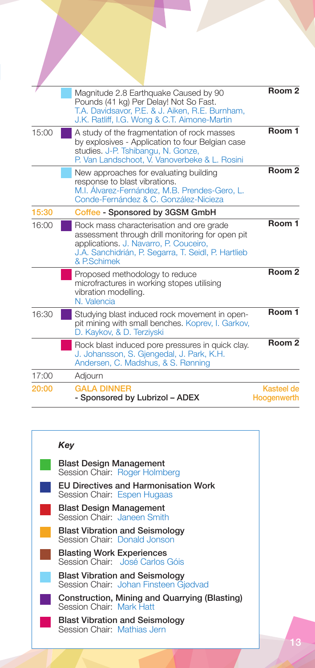|       | Magnitude 2.8 Earthquake Caused by 90<br>Pounds (41 kg) Per Delay! Not So Fast.<br>T.A. Davidsavor, P.E. & J. Aiken, R.E. Burnham,<br>J.K. Ratliff, I.G. Wong & C.T. Aimone-Martin                           | Room <sub>2</sub>         |
|-------|--------------------------------------------------------------------------------------------------------------------------------------------------------------------------------------------------------------|---------------------------|
| 15:00 | A study of the fragmentation of rock masses<br>by explosives - Application to four Belgian case<br>studies. J-P. Tshibangu, N. Gonze,<br>P. Van Landschoot, V. Vanoverbeke & L. Rosini                       | Room 1                    |
|       | New approaches for evaluating building<br>response to blast vibrations.<br>M.I. Alvarez-Fernández, M.B. Prendes-Gero, L.<br>Conde-Fernández & C. González-Nicieza                                            | Room <sub>2</sub>         |
| 15:30 | Coffee - Sponsored by 3GSM GmbH                                                                                                                                                                              |                           |
| 16:00 | Rock mass characterisation and ore grade<br>assessment through drill monitoring for open pit<br>applications. J. Navarro, P. Couceiro,<br>J.A. Sanchidrián, P. Segarra, T. Seidl, P. Hartlieb<br>& P.Schimek | Room 1                    |
|       | Proposed methodology to reduce<br>microfractures in working stopes utilising<br>vibration modelling.<br>N. Valencia                                                                                          | Room <sub>2</sub>         |
| 16:30 | Studying blast induced rock movement in open-<br>pit mining with small benches. Koprev, I. Garkov,<br>D. Kaykov, & D. Terziyski                                                                              | Room 1                    |
|       | Rock blast induced pore pressures in quick clay.<br>J. Johansson, S. Gjengedal, J. Park, K.H.<br>Andersen, C. Madshus, & S. Rønning                                                                          | Room <sub>2</sub>         |
| 17:00 | Adjourn                                                                                                                                                                                                      |                           |
| 20:00 | <b>GALA DINNER</b><br>- Sponsored by Lubrizol - ADEX                                                                                                                                                         | Kasteel de<br>Hoogenwerth |

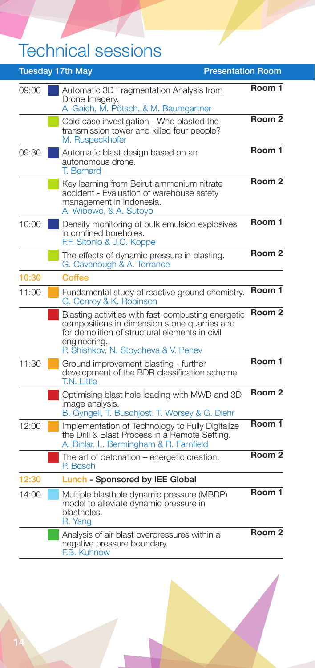## Technical sessions

|       | <b>Tuesday 17th May</b><br><b>Presentation Room</b>                                                                                                                                                          |                   |
|-------|--------------------------------------------------------------------------------------------------------------------------------------------------------------------------------------------------------------|-------------------|
| 09:00 | Automatic 3D Fragmentation Analysis from<br>Drone Imagery.<br>A. Gaich, M. Pötsch, & M. Baumgartner                                                                                                          | Room 1            |
|       | Cold case investigation - Who blasted the<br>transmission tower and killed four people?<br>M. Ruspeckhofer                                                                                                   | Room <sub>2</sub> |
| 09:30 | Automatic blast design based on an<br>autonomous drone.<br>T. Bernard                                                                                                                                        | Room 1            |
|       | Key learning from Beirut ammonium nitrate<br>accident - Evaluation of warehouse safety<br>management in Indonesia.<br>A. Wibowo, & A. Sutoyo                                                                 | Room <sub>2</sub> |
| 10:00 | Density monitoring of bulk emulsion explosives<br>in confined boreholes.<br>F.F. Sitonio & J.C. Koppe                                                                                                        | Room 1            |
|       | The effects of dynamic pressure in blasting.<br>G. Cavanough & A. Torrance                                                                                                                                   | Room <sub>2</sub> |
| 10:30 | Coffee                                                                                                                                                                                                       |                   |
| 11:00 | Fundamental study of reactive ground chemistry.<br>G. Conroy & K. Robinson                                                                                                                                   | Room 1            |
|       | Blasting activities with fast-combusting energetic<br>compositions in dimension stone quarries and<br>for demolition of structural elements in civil<br>engineering.<br>P. Shishkov, N. Stoycheva & V. Penev | Room <sub>2</sub> |
| 11:30 | Ground improvement blasting - further<br>development of the BDR classification scheme.<br>T.N. Little                                                                                                        | Room 1            |
|       | Optimising blast hole loading with MWD and 3D<br>imaqe analysis.<br>B. Gyngell, T. Buschjost, T. Worsey & G. Diehr                                                                                           | Room <sub>2</sub> |
| 12:00 | Implementation of Technology to Fully Digitalize<br>the Drill & Blast Process in a Remote Setting.<br>A. Bihlar, L. Bermingham & R. Farnfield                                                                | Room 1            |
|       | The art of detonation – energetic creation.<br>P. Bosch                                                                                                                                                      | Room <sub>2</sub> |
| 12:30 | Lunch - Sponsored by IEE Global                                                                                                                                                                              |                   |
| 14:00 | Multiple blasthole dynamic pressure (MBDP)<br>model to alleviate dynamic pressure in<br>blastholes.<br>R. Yang                                                                                               | Room 1            |
|       | Analysis of air blast overpressures within a<br>negative pressure boundary.<br>F.B. Kuhnow                                                                                                                   | Room <sub>2</sub> |